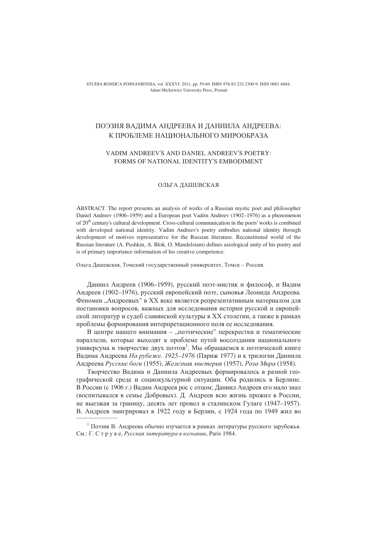STUDIA ROSSICA POSNANIENSIA, vol. XXXVI: 2011, pp. 59-69. ISBN 978-83-232-2300-9. ISSN 0081-6884. Adam Mickiewicz University Press, Poznań

# ПОЭЗИЯ ВАДИМА АНДРЕЕВА И ДАНИИЛА АНДРЕЕВА: К ПРОБЛЕМЕ НАЦИОНАЛЬНОГО МИРООБРАЗА

# VADIM ANDREEV'S AND DANIEL ANDREEV'S POETRY: FORMS OF NATIONAL IDENTITY'S EMBODIMENT

# ОЛЬГА ДАШЕВСКАЯ

ABSTRACT. The report presents an analysis of works of a Russian mystic poet and philosopher Daniel Andreey (1906–1959) and a European poet Vadim Andreey (1902–1976) as a phenomenon of  $20<sup>th</sup>$  century's cultural development. Cross-cultural communication in the poets' works is combined with developed national identity. Vadim Andreev's poetry embodies national identity through development of motives representative for the Russian literature. Reconstituted world of the Russian literature (A. Pushkin, A. Blok, O. Mandelstam) defines axiological unity of his poetry and is of primary importance information of his creative competence.

Ольга Дашевская, Томский государственный университет, Томск - Россия.

Даниил Андреев (1906–1959), русский поэт-мистик и философ, и Вадим Андреев (1902-1976), русский европейский поэт, сыновья Леонида Андреева. Феномен "Андреевых" в XX веке является репрезентативным материалом для постановки вопросов, важных для исследования истории русской и европейской литератур и судеб славянской культуры в XX столетии, а также в рамках проблемы формирования интерпретационного поля ее исследования.

В центре нашего внимания - "поэтические" перекрестки и тематические параллели, которые выходят к проблеме путей воссоздания национального универсума в творчестве двух поэтов<sup>1</sup>. Мы обращаемся к поэтической книге Вадима Андреева На рубеже. 1925-1976 (Париж 1977) и к трилогии Даниила Андреева Русские боги (1955), Железная мистерия (1957), Роза Мира (1958).

Творчество Вадима и Даниила Андреевых формировалось в разной географической среде и социокультурной ситуации. Оба родились в Берлине. В России (с 1906 г.) Вадим Андреев рос с отцом; Даниил Андреев его мало знал (воспитывался в семье Добровых). Д. Андреев всю жизнь прожил в России, не выезжая за границу, десять лет провел в сталинском Гулаге (1947-1957). В. Андреев эмигрировал в 1922 году в Берлин, с 1924 года по 1949 жил во

<sup>&</sup>lt;sup>1</sup> Поэзия В. Андреева обычно изучается в рамках литературы русского зарубежья. См.: Г. С т р у в е, Русская литература в изгнании, Paris 1984.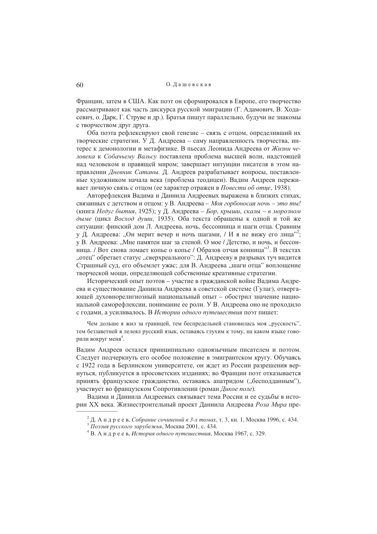Франции, затем в США. Как поэт он сформировался в Европе, его творчество рассматривают как часть дискурса русской эмиграции (Г. Адамович, В. Ходасевич, о. Дарк, Г. Струве и др.). Братья пишут параллельно, будучи не знакомы с творчеством друг друга.

Оба поэта рефлексируют свой генезис - связь с отцом, определивший их творческие стратегии. У Д. Андреева - саму направленность творчества, интерес к демонологии и метафизике. В пьесах Леонида Андреева от Жизни человека к Собачьему Вальсу поставлена проблема высшей воли, надстоящей над человеком и правящей миром; завершает интуиции писателя в этом направлении Дневник Сатаны. Д. Андреев разрабатывает вопросы, поставленные художником начала века (проблема теодицеи). Вадим Андреев переживает личную связь с отцом (ее характер отражен в Повести об отце, 1938).

Авторефлексия Вадима и Даниила Андреевых выражена в близких стихах, связанных с детством и отцом: у В. Андреева - Моя горбоносая ночь - это ты! (книга Недуг бытия, 1925); у Д. Андреева – Бор, крыши, скалы – в морозном дыме (цикл Восход души, 1935). Оба текста обращены к одной и той же ситуации: финский дом Л. Андреева, ночь, бессонница и шаги отца. Сравним у Д. Андреева: "Он мерит вечер и ночь шагами, / И я не вижу его лица"<sup>2</sup>; у В. Андреева: "Мне памятен шаг за стеной. О мое / Детство, и ночь, и бессонница. / Вот снова ломает копье о копье / Образов отчая конница"<sup>3</sup>. В текстах "отец" обретает статус "сверхреального": Д. Андрееву в разрывах туч видится Страшный суд, его объемлет ужас; для В. Андреева "шаги отца" воплощение творческой мощи, определяющей собственные креативные стратегии.

Исторический опыт поэтов - участие в гражданской войне Вадима Андреева и существование Даниила Андреева в советской системе (Гулаг), отвергающей духовнорелигиозный национальный опыт - обострил значение национальной саморефлексии, понимание ее роли. У В. Андреева оно не проходило с годами, а усиливалось. В Истории одного путешествия поэт пишет:

Чем дольше я жил за границей, тем беспредельней становилась моя "русскость", тем беззаветней я лелеял русский язык, оставаясь глухим к тому, на каком языке говорили вокруг меня<sup>4</sup>.

Вадим Андреев остался принципиально одноязычным писателем и поэтом. Следует подчеркнуть его особое положение в эмигрантском кругу. Обучаясь с 1922 года в Берлинском университете, он ждет из России разрешения вернуться, публикуется в просоветских изданиях; во Франции поэт отказывается принять французское гражданство, оставаясь апатридом ("бесподданным"), участвует во французском Сопротивлении (роман Дикое поле).

Вадима и Даниила Андреевых связывает тема России и ее судьбы в истории XX века. Жизнестроительный проект Даниила Андреева Роза Мира пре-

<sup>&</sup>lt;sup>2</sup> Д. А н д р е е в, *Собрание сочинений в 3-х томах*, т. 3, кн. 1, Москва 1996, с. 434.<br><sup>3</sup> Поэзия русского зарубежья, Москва 2001, с. 434.

<sup>&</sup>lt;sup>4</sup> В. А н д р е е в, История одного путешествия, Москва 1967, с. 329.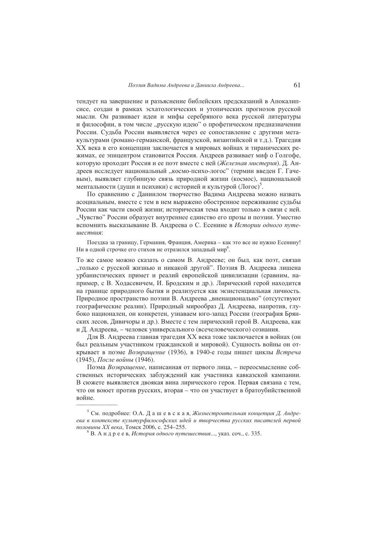тендует на завершение и разъяснение библейских предсказаний в Апокалипсисе, создан в рамках эсхатологических и утопических прогнозов русской мысли. Он развивает идеи и мифы серебряного века русской литературы и философии, в том числе "русскую идею" о профетическом предназначении России. Судьба России выявляется через ее сопоставление с другими метакультурами (романо-германской, французской, византийской и т.д.). Трагедия ХХ века в его концепции заключается в мировых войнах и тиранических режимах, ее эпицентром становится Россия. Андреев развивает миф о Голгофе, которую проходит Россия и ее поэт вместе с ней (Железная мистерия). Д. Андреев исследует национальный "космо-психо-логос" (термин введен Г. Гачевым), выявляет глубинную связь природной жизни (космос), национальной ментальности (души и психики) с историей и культурой (Логос)<sup>5</sup>.

По сравнению с Даниилом творчество Вадима Андреева можно назвать асоциальным, вместе с тем в нем выражено обостренное переживание судьбы России как части своей жизни; историческая тема входит только в связи с ней. "Чувство" России образует внутреннее единство его прозы и поэзии. Уместно вспомнить высказывание В. Андреева о С. Есенине в Истории одного путеunecmens.

Поездка за границу. Германия. Франция. Америка – как это все не нужно Есенину! Ни в одной строчке его стихов не отразился западный мир<sup>6</sup>.

То же самое можно сказать о самом В. Андрееве; он был, как поэт, связан "только с русской жизнью и никакой другой". Поэзия В. Андреева лишена урбанистических примет и реалий европейской цивилизации (сравним, например, с В. Ходасевичем, И. Бродским и др.). Лирический герой находится на границе природного бытия и реализуется как экзистенциальная личность. Природное пространство поэзии В. Андреева, вненационально" (отсутствуют географические реалии). Природный мирообраз Д. Андреева, напротив, глубоко национален, он конкретен, узнаваем юго-запад России (география Брянских лесов, Дивичоры и др.). Вместе с тем лирический герой В. Андреева, как и Д. Андреева, - человек универсального (всечеловеческого) сознания.

Для В. Андреева главная трагедия XX века тоже заключается в войнах (он был реальным участником гражданской и мировой). Сущность войны он открывает в поэме Возврашение (1936), в 1940-е годы пишет циклы Встреча (1945), После войны (1946).

Поэма Возвращение, написанная от первого лица, - переосмысление собственных исторических заблуждений как участника кавказской кампании. В сюжете выявляется двоякая вина лирического героя. Первая связана с тем, что он воюет против русских, вторая - что он участвует в братоубийственной войне.

<sup>&</sup>lt;sup>5</sup> См. подробнее: О.А. Дашевская, Жизнестроительная концепция Д. Андреева в контексте культурфилософских идей и творчества русских писателей первой половины XX века, Томск 2006, с. 254-255.

 ${}^{6}$  В. А н д р е е в, История одного путешествия..., указ. соч., с. 335.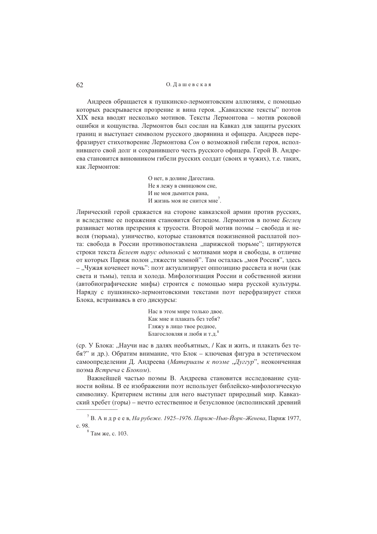Андреев обращается к пушкинско-лермонтовским аллюзиям, с помощью которых раскрывается прозрение и вина героя. "Кавказские тексты" поэтов XIX века вволят несколько мотивов. Тексты Лермонтова – мотив роковой ошибки и кощунства. Лермонтов был сослан на Кавказ для защиты русских границ и выступает символом русского дворянина и офицера. Андреев перефразирует стихотворение Лермонтова Сон о возможной гибели героя, исполнившего свой долг и сохранившего честь русского офицера. Герой В. Андреева становится виновником гибели русских солдат (своих и чужих), т.е. таких, как Лермонтов:

> О нет, в лолине Лагестана. Не я лежу в свинцовом сне, И не моя дымится рана, И жизнь моя не снится мне<sup>7</sup>.

Лирический герой сражается на стороне кавказской армии против русских, и вследствие ее поражения становится беглецом. Лермонтов в поэме Беглец развивает мотив презрения к трусости. Второй мотив поэмы - свобода и неволя (тюрьма), узничество, которые становятся пожизненной расплатой поэта: свобода в России противопоставлена "парижской тюрьме"; цитируются строки текста Белеет парус одинокий с мотивами моря и свободы, в отличие от которых Париж полон "тяжести земной". Там осталась "моя Россия", здесь - "Чужая коченеет ночь": поэт актуализирует оппозицию рассвета и ночи (как света и тьмы), тепла и холода. Мифологизация России и собственной жизни (автобиографические мифы) строится с помощью мира русской культуры. Наряду с пушкинско-лермонтовскими текстами поэт перефразирует стихи Блока, встраиваясь в его дискурсы:

> Нас в этом мире только лвое. Как мне и плакать без тебя? Гляжу в лицо твое родное, Благословляя и любя и т.д.

(ср. У Блока: "Научи нас в лалях необъятных. / Как и жить, и плакать без тебя?" и др.). Обратим внимание, что Блок - ключевая фигура в эстетическом самоопределении Д. Андреева (Материалы к поэме "Дуггур", неоконченная поэма Встреча с Блоком).

Важнейшей частью поэмы В. Андреева становится исследование сущности войны. В ее изображении поэт использует библейско-мифологическую символику. Критерием истины для него выступает природный мир. Кавказский хребет (горы) – нечто естественное и безусловное (исполинский древний

<sup>&</sup>lt;sup>7</sup> В. А н д р е е в, *На рубеже. 1925–1976. Париж–Нью-Йорк–Женева*, Париж 1977, c. 98.

<sup>&</sup>lt;sup>8</sup> Там же, с. 103.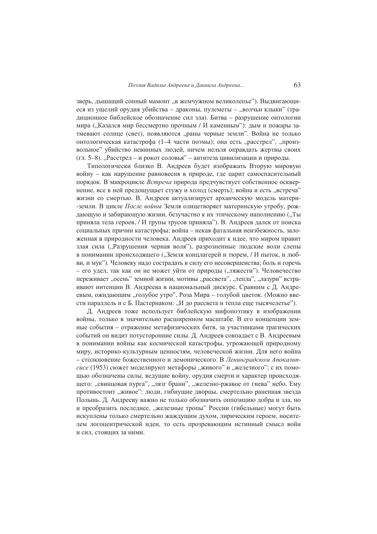зверь, дышащий сонный мамонт "в жемчужном великолепье"). Выдвигающиеся из ущелий орудия убийства - драконы, пулеметы - "волчьи клыки" (традиционное библейское обозначение сил зла). Битва - разрушение онтологии мира ("Казался мир бессмертно прочным / И каменным"): дым и пожары затмевают солнце (свет), появляются "раны черные земли". Война не только онтологическая катастрофа (1-4 части поэмы); она есть "расстрел", "произвольное" убийство невинных людей, ничем нельзя оправдать жертвы своих (гл. 5-8). "Расстрел – и рокот соловья" – антитеза цивилизации и природы.

Типологически близко В. Андреев будет изображать Вторую мировую войну - как нарушение равновесия в природе, где царит самоспасительный порядок. В микроцикле Встреча природа предчувствует собственное осквернение, все в ней предощущает стужу и холод (смерть); война и есть "встреча" жизни со смертью. В. Андреев актуализирует архаическую модель матери--земли. В цикле После войны Земля олицетворяет материнскую утробу, рождающую и забирающую жизни, безучастно к их этическому наполнению ("Ты приняла тела героев, / И трупы трусов приняла"). В. Андреев далек от поиска социальных причин катастрофы; война - некая фатальная неизбежность, заложенная в природности человека. Андреев приходит к идее, что миром правит злая сила ("Разрушения черная воля"), разрозненные людские воли слепы в понимании происходящего ("Земля концлагерей и тюрем, / И пыток, и любви, и мук"). Человеку надо сострадать в силу его несовершенства; боль и горечь - его удел, так как он не может уйти от природы ("тяжести"). Человечество переживает "осень" земной жизни, мотивы "рассвета", "тепла", "лазури" встраивают интенции В. Андреева в национальный дискурс. Сравним с Д. Андреевым, ожидающим "голубое утро", Роза Мира - голубой цветок. (Можно ввести параллель и с Б. Пастернаком: "И до рассвета и тепла еще тысячелетье").

Д. Андреев тоже использует библейскую мифопоэтику в изображении войны, только в значительно расширенном масштабе. В его концепции земные события - отражение метафизических битв, за участниками трагических событий он видит потусторонние силы. Д. Андреев совпадает с В. Андреевым в понимании войны как космической катастрофы, угрожающей природному миру, историко-культурным ценностям, человеческой жизни. Для него война - столкновение божественного и демонического. В Ленинградском Апокалипсисе (1953) сюжет моделируют метафоры "живого" и "железного"; с их помощью обозначены силы, ведущие войну, орудия смерти и характер происходящего: "свинцовая пурга", "лязг брани", "железно-ржавое от гнева" небо. Ему противостоит "живое": люди, гибнущие дворцы, смертельно раненная звезда Полынь. Д. Андрееву важно не только обозначить оппозицию добра и зла, но и преобразить последнее, "железные тропы" России (гибельные) могут быть искуплены только смертельно жаждущим духом, лирическим героем, носителем логоцентрической идеи, то есть прозревающим истинный смысл войн и сил. стоящих за ними.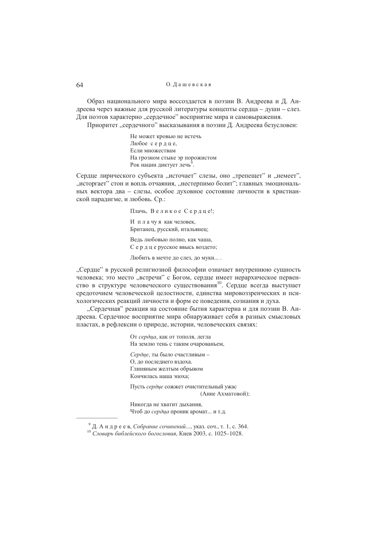Образ национального мира воссоздается в поэзии В. Андреева и Д. Андреева через важные для русской литературы концепты сердца - души - слез. Для поэтов характерно "сердечное" восприятие мира и самовыражения.

Приоритет "сердечного" высказывания в поэзии Д. Андреева безусловен:

Не может кровью не истечь Любое сердце, Если множествам На грозном стыке эр порожистом Рок нации диктует лечь<sup>9</sup>.

Сердце лирического субъекта "источает" слезы, оно "трепещет" и "немеет", "исторгает" стон и вопль отчаяния, "нестерпимо болит"; главных эмоциональных вектора два - слезы, особое духовное состояние личности в христианской паралигме, и любовь. Ср.:

> Плачь, Великое Сердце!; И плачуя как человек, Британец, русский, итальянец; Ведь любовью полно, как чаша, Сердцерусское ввысь воздето; Любить в мечте до слез, до муки....

"Сердце" в русской религиозной философии означает внутреннюю сущность человека; это место "встречи" с Богом, сердце имеет иерархическое первенство в структуре человеческого существования<sup>10</sup>. Сердце всегда выступает средоточием человеческой целостности, единства мировоззренческих и психологических реакций личности и форм ее поведения, сознания и духа.

"Сердечная" реакция на состояние бытия характерна и для поэзии В. Андреева. Сердечное восприятие мира обнаруживает себя в разных смысловых пластах, в рефлексии о природе, истории, человеческих связях:

> От сердца, как от тополя, легла На землю тень с таким очарованьем, Сердце, ты было счастливым -О, до последнего вздоха. Глиняным желтым обрывом Кончилась наша эпоха; Пусть сердие сожжет очистительный ужас (Анне Ахматовой): Никогда не хватит дыхания, Чтоб до сердца проник аромат... и т.д.

<sup>&</sup>lt;sup>9</sup> Д. А н д р е е в, *Собрание сочинений*..., указ. соч., т. 1, с. 364. <sup>10</sup> Словарь библейского богословия, Киев 2003, с. 1025-1028.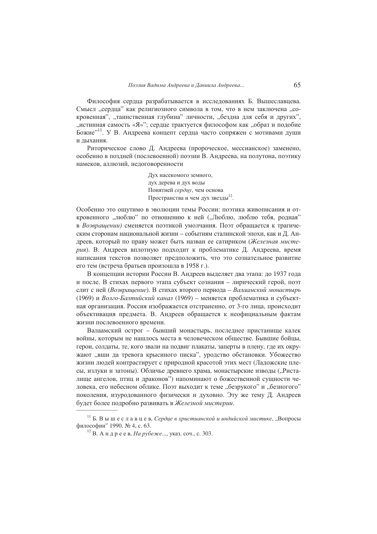Философия сердца разрабатывается в исследованиях Б. Вышеславцева. Смысл "сердца" как религиозного символа в том, что в нем заключена "сокровенная", "таинственная глубина" личности, "бездна для себя и других", "истинная самость «Я»"; сердце трактуется философом как "образ и подобие Божие"<sup>11</sup>. У В. Андреева концепт сердца часто сопряжен с мотивами души и лыхания.

Риторическое слово Д. Андреева (пророческое, мессианское) заменено, особенно в поздней (послевоенной) поэзии В. Андреева, на полутона, поэтику намеков, аллюзий, нелоговоренности

> Дух насекомого земного, дух дерева и дух воды Понятней сердцу, чем основа Пространства и чем дух звезды<sup>12</sup>.

Особенно это ощутимо в эволюции темы России: поэтика живописания и откровенного "люблю" по отношению к ней ("Люблю, люблю тебя, родная" в Возвращении) сменяется поэтикой умолчания. Поэт обращается к трагическим сторонам национальной жизни - событиям сталинской эпохи, как и Д. Андреев, который по праву может быть назван ее сатириком (Железная мистерия). В. Андреев вплотную подходит к проблематике Д. Андреева, время написания текстов позволяет предположить, что это сознательное развитие его тем (встреча братьев произошла в 1958 г.).

В концепции истории России В. Андреев выделяет два этапа: до 1937 года и после. В стихах первого этапа субъект сознания - лирический герой, поэт слит с ней (Возвращение). В стихах второго периода – Валаамский монастырь (1969) и Волго-Балтийский канал (1969) – меняется проблематика и субъектная организация. Россия изображается отстраненно, от 3-го лица, происходит объективация предмета. В. Андреев обращается к неофициальным фактам жизни послевоенного времени.

Валаамский острог - бывший монастырь, последнее пристанище калек войны, которым не нашлось места в человеческом обществе. Бывшие бойцы, герои, солдаты, те, кого звали на подвиг плакаты, заперты в плену, где их окружают "вши да тревога крысиного писка", уродство обстановки. Убожество жизни людей контрастирует с природной красотой этих мест (Ладожские плесы, излуки и затоны). Обличье древнего храма, монастырские изводы ("Ристалище ангелов, птиц и драконов") напоминают о божественной сущности человека, его небесном облике. Поэт выходит к теме "безрукого" и "безногого" поколения, изуродованного физически и духовно. Эту же тему Д. Андреев будет более подробно развивать в Железной мистерии.

<sup>&</sup>lt;sup>11</sup> Б. В ы ш е с л а в ц е в, Сердце в христианской и индийской мистике, "Вопросы философии" 1990, № 4, с. 63.

<sup>&</sup>lt;sup>12</sup> В. Андреев, *На рубеже*..., указ. соч., с. 303.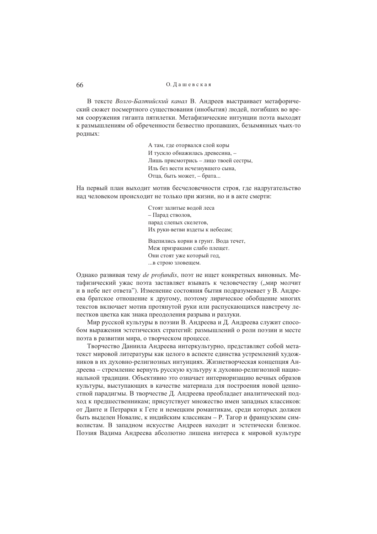В тексте Волго-Балтийский канал В. Андреев выстраивает метафорический сюжет посмертного существования (инобытия) людей, погибших во время сооружения гиганта пятилетки. Метафизические интуиции поэта выходят к размышлениям об обреченности безвестно пропавших, безымянных чьих-то родных:

> А там, где оторвался слой коры И тускло обнажилась древесина, -Лишь присмотрись - лицо твоей сестры, Иль без вести исчезнувшего сына, Отца, быть может, - брата...

На первый план выходит мотив бесчеловечности строя, где надругательство над человеком происходит не только при жизни, но и в акте смерти:

> Стоят залитые водой леса - Парад стволов, парад слепых скелетов. Их руки-ветви вздеты к небесам;

Вцепились корни в грунт. Вода течет, Меж призраками слабо плещет. Они стоят уже который год, ... в строю зловещем.

Однако развивая тему de profundis, поэт не ищет конкретных виновных. Метафизический ужас поэта заставляет взывать к человечеству ("мир молчит и в небе нет ответа"). Изменение состояния бытия подразумевает у В. Андреева братское отношение к другому, поэтому лирическое обобщение многих текстов включает мотив протянутой руки или распускающихся навстречу лепестков цветка как знака преодоления разрыва и разлуки.

Мир русской культуры в поэзии В. Андреева и Д. Андреева служит способом выражения эстетических стратегий: размышлений о роли поэзии и месте поэта в развитии мира, о творческом пронессе.

Творчество Даниила Андреева интеркультурно, представляет собой метатекст мировой литературы как целого в аспекте единства устремлений художников в их духовно-религиозных интуициях. Жизнетворческая концепция Андреева - стремление вернуть русскую культуру к духовно-религиозной национальной традиции. Объективно это означает интериоризацию вечных образов культуры, выступающих в качестве материала для построения новой ценностной паралигмы. В творчестве Л. Анлреева преоблалает аналитический полход к предшественникам; присутствует множество имен западных классиков; от Данте и Петрарки к Гете и немецким романтикам, среди которых должен быть выделен Новалис, к индийским классикам - Р. Тагор и французским символистам. В западном искусстве Андреев находит и эстетически близкое. Поэзия Вадима Андреева абсолютно лишена интереса к мировой культуре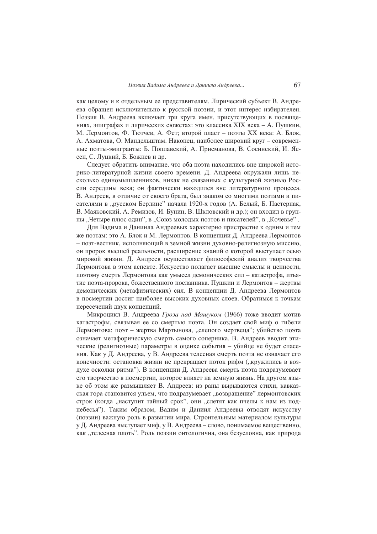как целому и к отдельным ее представителям. Лирический субъект В. Андреева обращен исключительно к русской поэзии, и этот интерес избирателен. Поэзия В. Андреева включает три круга имен, присутствующих в посвящениях, эпиграфах и лирических сюжетах: это классика XIX века - А. Пушкин, М. Лермонтов, Ф. Тютчев, А. Фет; второй пласт - поэты XX века: А. Блок, А. Ахматова, О. Мандельштам. Наконец, наиболее широкий круг - современные поэты-эмигранты: Б. Поплавский, А. Присманова, В. Сосинский, И. Яссен, С. Луцкий, Б. Божнев и др.

Следует обратить внимание, что оба поэта находились вне широкой историко-литературной жизни своего времени. Д. Андреева окружали лишь несколько единомышленников, никак не связанных с культурной жизнью России середины века; он фактически находился вне литературного процесса. В. Андреев, в отличие от своего брата, был знаком со многими поэтами и писателями в "русском Берлине" начала 1920-х годов (А. Белый, Б. Пастернак, В. Маяковский, А. Ремизов, И. Бунин, В. Шкловский и др.); он входил в группы, Четыре плюс один", в "Союз молодых поэтов и писателей", в "Кочевье".

Для Вадима и Даниила Андреевых характерно пристрастие к одним и тем же поэтам: это А. Блок и М. Лермонтов. В концепции Д. Андреева Лермонтов - поэт-вестник, исполняющий в земной жизни духовно-религиозную миссию, он пророк высшей реальности, расширение знаний о которой выступает осью мировой жизни. Д. Андреев осуществляет философский анализ творчества Лермонтова в этом аспекте. Искусство полагает высшие смыслы и ценности, поэтому смерть Лермонтова как умысел демонических сил - катастрофа, изъятие поэта-пророка, божественного посланника. Пушкин и Лермонтов – жертвы демонических (метафизических) сил. В концепции Д. Андреева Лермонтов в посмертии достиг наиболее высоких духовных слоев. Обратимся к точкам пересечений двух концепций.

Микроцикл В. Андреева Гроза над Машуком (1966) тоже вводит мотив катастрофы, связывая ее со смертью поэта. Он создает свой миф о гибели Лермонтова: поэт - жертва Мартынова, "слепого мертвеца"; убийство поэта означает метафорическую смерть самого соперника. В. Андреев вводит этические (религиозные) параметры в оценке события - убийце не будет спасения. Как у Д. Андреева, у В. Андреева телесная смерть поэта не означает его конечности: остановка жизни не прекращает поток рифм ("кружились в воздухе осколки ритма"). В концепции Д. Андреева смерть поэта подразумевает его творчество в посмертии, которое влияет на земную жизнь. На другом языке об этом же размышляет В. Андреев: из раны вырываются стихи, кавказская гора становится ульем, что подразумевает "возвращение" лермонтовских строк (когда "наступит тайный срок", они "слетят как пчелы к нам из поднебесья"). Таким образом, Вадим и Даниил Андреевы отводят искусству (поэзии) важную роль в развитии мира. Строительным материалом культуры у Д. Андреева выступает миф, у В. Андреева – слово, понимаемое вещественно, как "телесная плоть". Роль поэзии онтологична, она безусловна, как природа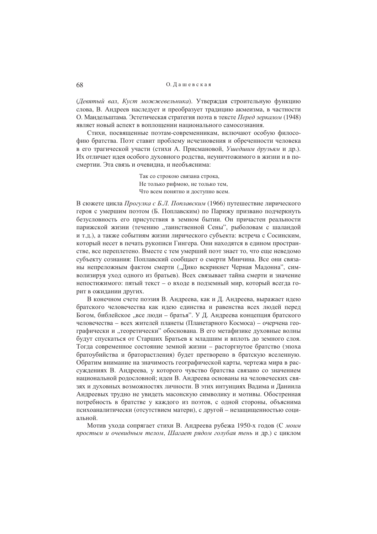(Девятый вал, Куст можжевельника). Утверждая строительную функцию слова, В. Андреев наследует и преобразует традицию акмеизма, в частности О. Мандельштама. Эстетическая стратегия поэта в тексте Перед зеркалом (1948) являет новый аспект в воплощении национального самосознания.

Стихи, посвященные поэтам-современникам, включают особую философию братства. Поэт ставит проблему исчезновения и обреченности человека в его трагической участи (стихи А. Присмановой, Ушедшим друзьям и др.). Их отличает идея особого духовного родства, неуничтожимого в жизни и в посмертии. Эта связь и очевидна, и необъяснима:

> Так со строкою связана строка, Не только рифмою, не только тем, Что всем понятно и доступно всем.

В сюжете цикла Прогулка с Б.Л. Поплавским (1966) путешествие лирического героя с умершим поэтом (Б. Поплавским) по Парижу призвано подчеркнуть безусловность его присутствия в земном бытии. Он причастен реальности парижской жизни (течению "таинственной Сены", рыболовам с шаландой и т.д.), а также событиям жизни лирического субъекта: встреча с Сосинским, который несет в печать рукописи Гингера. Они находятся в едином пространстве, все переплетено. Вместе с тем умерший поэт знает то, что еще неведомо субъекту сознания: Поплавский сообщает о смерти Минчина. Все они связаны непреложным фактом смерти ("Дико вскрикнет Черная Мадонна", символизируя уход одного из братьев). Всех связывает тайна смерти и значение непостижимого: пятый текст - о входе в подземный мир, который всегда горит в ожидании других.

В конечном счете поэзия В. Андреева, как и Д. Андреева, выражает идею братского человечества как идею единства и равенства всех людей перед Богом, библейское "все люди – братья". У Д. Андреева концепция братского человечества - всех жителей планеты (Планетарного Космоса) - очерчена географически и "теоретически" обоснована. В его метафизике духовные волны будут спускаться от Старших Братьев к младшим и вплоть до земного слоя. Тогда современное состояние земной жизни - расторгнутое братство (эпоха братоубийства и браторастления) будет претворено в братскую вселенную. Обратим внимание на значимость географической карты, чертежа мира в рассуждениях В. Андреева, у которого чувство братства связано со значением национальной родословной; идеи В. Андреева основаны на человеческих связях и духовных возможностях личности. В этих интуициях Вадима и Даниила Андреевых трудно не увидеть масонскую символику и мотивы. Обостренная потребность в братстве у каждого из поэтов, с одной стороны, объяснима психоаналитически (отсутствием матери), с другой - незащищенностью социальной.

Мотив ухола сопрягает стихи В. Андреева рубежа 1950-х голов (С *моим* простым и очевидным телом, Шагает рядом голубая тень и др.) с циклом